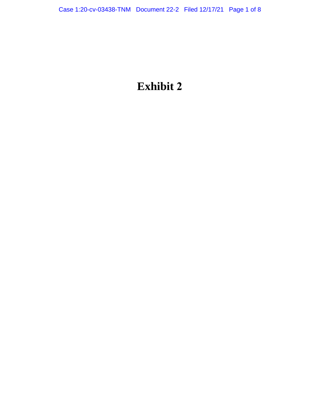# **Exhibit 2**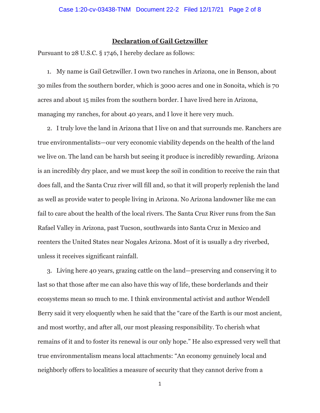## **Declaration of Gail Getzwiller**

Pursuant to 28 U.S.C. § 1746, I hereby declare as follows:

1. My name is Gail Getzwiller. I own two ranches in Arizona, one in Benson, about 30 miles from the southern border, which is 3000 acres and one in Sonoita, which is 70 acres and about 15 miles from the southern border. I have lived here in Arizona, managing my ranches, for about 40 years, and I love it here very much.

2. I truly love the land in Arizona that I live on and that surrounds me. Ranchers are true environmentalists—our very economic viability depends on the health of the land we live on. The land can be harsh but seeing it produce is incredibly rewarding. Arizona is an incredibly dry place, and we must keep the soil in condition to receive the rain that does fall, and the Santa Cruz river will fill and, so that it will properly replenish the land as well as provide water to people living in Arizona. No Arizona landowner like me can fail to care about the health of the local rivers. The Santa Cruz River runs from the San Rafael Valley in Arizona, past Tucson, southwards into Santa Cruz in Mexico and reenters the United States near Nogales Arizona. Most of it is usually a dry riverbed, unless it receives significant rainfall.

3. Living here 40 years, grazing cattle on the land—preserving and conserving it to last so that those after me can also have this way of life, these borderlands and their ecosystems mean so much to me. I think environmental activist and author Wendell Berry said it very eloquently when he said that the "care of the Earth is our most ancient, and most worthy, and after all, our most pleasing responsibility. To cherish what remains of it and to foster its renewal is our only hope." He also expressed very well that true environmentalism means local attachments: "An economy genuinely local and neighborly offers to localities a measure of security that they cannot derive from a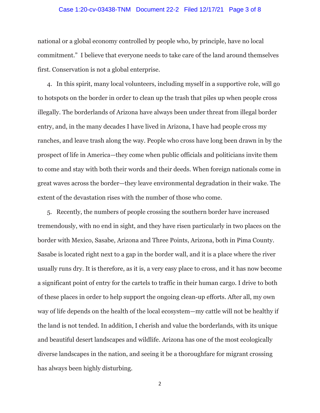### Case 1:20-cv-03438-TNM Document 22-2 Filed 12/17/21 Page 3 of 8

national or a global economy controlled by people who, by principle, have no local commitment." I believe that everyone needs to take care of the land around themselves first. Conservation is not a global enterprise.

4. In this spirit, many local volunteers, including myself in a supportive role, will go to hotspots on the border in order to clean up the trash that piles up when people cross illegally. The borderlands of Arizona have always been under threat from illegal border entry, and, in the many decades I have lived in Arizona, I have had people cross my ranches, and leave trash along the way. People who cross have long been drawn in by the prospect of life in America—they come when public officials and politicians invite them to come and stay with both their words and their deeds. When foreign nationals come in great waves across the border—they leave environmental degradation in their wake. The extent of the devastation rises with the number of those who come.

5. Recently, the numbers of people crossing the southern border have increased tremendously, with no end in sight, and they have risen particularly in two places on the border with Mexico, Sasabe, Arizona and Three Points, Arizona, both in Pima County. Sasabe is located right next to a gap in the border wall, and it is a place where the river usually runs dry. It is therefore, as it is, a very easy place to cross, and it has now become a significant point of entry for the cartels to traffic in their human cargo. I drive to both of these places in order to help support the ongoing clean-up efforts. After all, my own way of life depends on the health of the local ecosystem—my cattle will not be healthy if the land is not tended. In addition, I cherish and value the borderlands, with its unique and beautiful desert landscapes and wildlife. Arizona has one of the most ecologically diverse landscapes in the nation, and seeing it be a thoroughfare for migrant crossing has always been highly disturbing.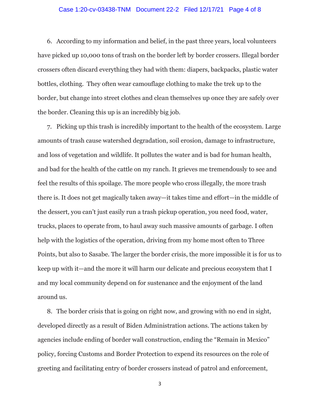#### Case 1:20-cv-03438-TNM Document 22-2 Filed 12/17/21 Page 4 of 8

6. According to my information and belief, in the past three years, local volunteers have picked up 10,000 tons of trash on the border left by border crossers. Illegal border crossers often discard everything they had with them: diapers, backpacks, plastic water bottles, clothing. They often wear camouflage clothing to make the trek up to the border, but change into street clothes and clean themselves up once they are safely over the border. Cleaning this up is an incredibly big job.

7. Picking up this trash is incredibly important to the health of the ecosystem. Large amounts of trash cause watershed degradation, soil erosion, damage to infrastructure, and loss of vegetation and wildlife. It pollutes the water and is bad for human health, and bad for the health of the cattle on my ranch. It grieves me tremendously to see and feel the results of this spoilage. The more people who cross illegally, the more trash there is. It does not get magically taken away—it takes time and effort—in the middle of the dessert, you can't just easily run a trash pickup operation, you need food, water, trucks, places to operate from, to haul away such massive amounts of garbage. I often help with the logistics of the operation, driving from my home most often to Three Points, but also to Sasabe. The larger the border crisis, the more impossible it is for us to keep up with it—and the more it will harm our delicate and precious ecosystem that I and my local community depend on for sustenance and the enjoyment of the land around us.

8. The border crisis that is going on right now, and growing with no end in sight, developed directly as a result of Biden Administration actions. The actions taken by agencies include ending of border wall construction, ending the "Remain in Mexico" policy, forcing Customs and Border Protection to expend its resources on the role of greeting and facilitating entry of border crossers instead of patrol and enforcement,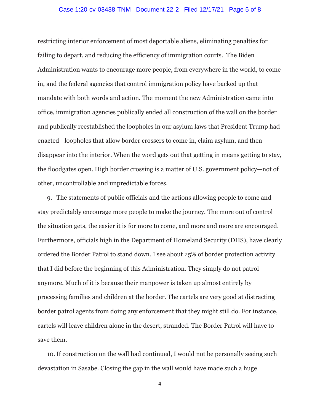#### Case 1:20-cv-03438-TNM Document 22-2 Filed 12/17/21 Page 5 of 8

restricting interior enforcement of most deportable aliens, eliminating penalties for failing to depart, and reducing the efficiency of immigration courts. The Biden Administration wants to encourage more people, from everywhere in the world, to come in, and the federal agencies that control immigration policy have backed up that mandate with both words and action. The moment the new Administration came into office, immigration agencies publically ended all construction of the wall on the border and publically reestablished the loopholes in our asylum laws that President Trump had enacted—loopholes that allow border crossers to come in, claim asylum, and then disappear into the interior. When the word gets out that getting in means getting to stay, the floodgates open. High border crossing is a matter of U.S. government policy—not of other, uncontrollable and unpredictable forces.

9. The statements of public officials and the actions allowing people to come and stay predictably encourage more people to make the journey. The more out of control the situation gets, the easier it is for more to come, and more and more are encouraged. Furthermore, officials high in the Department of Homeland Security (DHS), have clearly ordered the Border Patrol to stand down. I see about 25% of border protection activity that I did before the beginning of this Administration. They simply do not patrol anymore. Much of it is because their manpower is taken up almost entirely by processing families and children at the border. The cartels are very good at distracting border patrol agents from doing any enforcement that they might still do. For instance, cartels will leave children alone in the desert, stranded. The Border Patrol will have to save them.

10.If construction on the wall had continued, I would not be personally seeing such devastation in Sasabe. Closing the gap in the wall would have made such a huge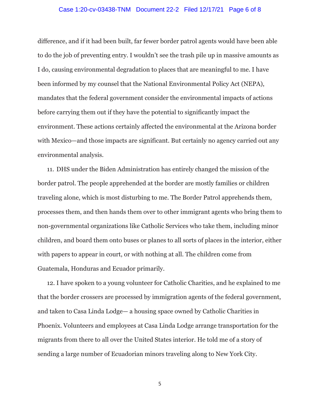#### Case 1:20-cv-03438-TNM Document 22-2 Filed 12/17/21 Page 6 of 8

difference, and if it had been built, far fewer border patrol agents would have been able to do the job of preventing entry. I wouldn't see the trash pile up in massive amounts as I do, causing environmental degradation to places that are meaningful to me. I have been informed by my counsel that the National Environmental Policy Act (NEPA), mandates that the federal government consider the environmental impacts of actions before carrying them out if they have the potential to significantly impact the environment. These actions certainly affected the environmental at the Arizona border with Mexico—and those impacts are significant. But certainly no agency carried out any environmental analysis.

11. DHS under the Biden Administration has entirely changed the mission of the border patrol. The people apprehended at the border are mostly families or children traveling alone, which is most disturbing to me. The Border Patrol apprehends them, processes them, and then hands them over to other immigrant agents who bring them to non-governmental organizations like Catholic Services who take them, including minor children, and board them onto buses or planes to all sorts of places in the interior, either with papers to appear in court, or with nothing at all. The children come from Guatemala, Honduras and Ecuador primarily.

12. I have spoken to a young volunteer for Catholic Charities, and he explained to me that the border crossers are processed by immigration agents of the federal government, and taken to Casa Linda Lodge— a housing space owned by Catholic Charities in Phoenix. Volunteers and employees at Casa Linda Lodge arrange transportation for the migrants from there to all over the United States interior. He told me of a story of sending a large number of Ecuadorian minors traveling along to New York City.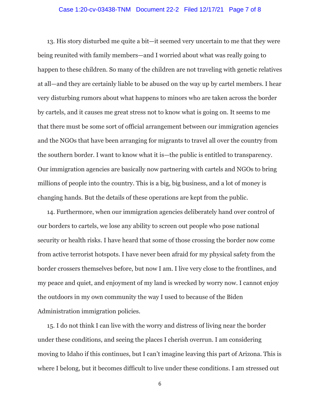#### Case 1:20-cv-03438-TNM Document 22-2 Filed 12/17/21 Page 7 of 8

13. His story disturbed me quite a bit—it seemed very uncertain to me that they were being reunited with family members—and I worried about what was really going to happen to these children. So many of the children are not traveling with genetic relatives at all—and they are certainly liable to be abused on the way up by cartel members. I hear very disturbing rumors about what happens to minors who are taken across the border by cartels, and it causes me great stress not to know what is going on. It seems to me that there must be some sort of official arrangement between our immigration agencies and the NGOs that have been arranging for migrants to travel all over the country from the southern border. I want to know what it is—the public is entitled to transparency. Our immigration agencies are basically now partnering with cartels and NGOs to bring millions of people into the country. This is a big, big business, and a lot of money is changing hands. But the details of these operations are kept from the public.

14. Furthermore, when our immigration agencies deliberately hand over control of our borders to cartels, we lose any ability to screen out people who pose national security or health risks. I have heard that some of those crossing the border now come from active terrorist hotspots. I have never been afraid for my physical safety from the border crossers themselves before, but now I am. I live very close to the frontlines, and my peace and quiet, and enjoyment of my land is wrecked by worry now. I cannot enjoy the outdoors in my own community the way I used to because of the Biden Administration immigration policies.

15. I do not think I can live with the worry and distress of living near the border under these conditions, and seeing the places I cherish overrun. I am considering moving to Idaho if this continues, but I can't imagine leaving this part of Arizona. This is where I belong, but it becomes difficult to live under these conditions. I am stressed out